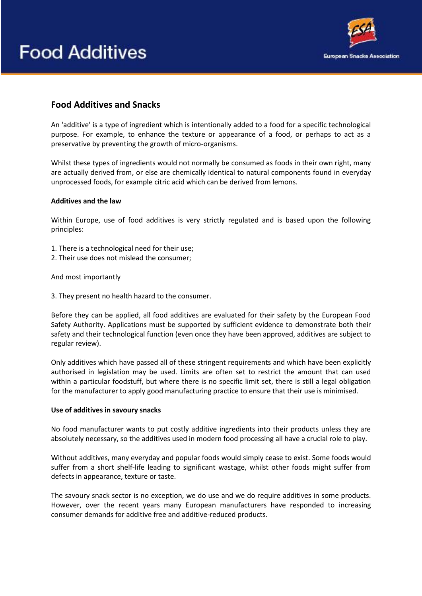# **Food Additives**



# **Food Additives and Snacks**

An 'additive' is a type of ingredient which is intentionally added to a food for a specific technological purpose. For example, to enhance the texture or appearance of a food, or perhaps to act as a preservative by preventing the growth of micro-organisms.

Whilst these types of ingredients would not normally be consumed as foods in their own right, many are actually derived from, or else are chemically identical to natural components found in everyday unprocessed foods, for example citric acid which can be derived from lemons.

# **Additives and the law**

Within Europe, use of food additives is very strictly regulated and is based upon the following principles:

- 1. There is a technological need for their use;
- 2. Their use does not mislead the consumer;

And most importantly

3. They present no health hazard to the consumer.

Before they can be applied, all food additives are evaluated for their safety by the European Food Safety Authority. Applications must be supported by sufficient evidence to demonstrate both their safety and their technological function (even once they have been approved, additives are subject to regular review).

Only additives which have passed all of these stringent requirements and which have been explicitly authorised in legislation may be used. Limits are often set to restrict the amount that can used within a particular foodstuff, but where there is no specific limit set, there is still a legal obligation for the manufacturer to apply good manufacturing practice to ensure that their use is minimised.

# **Use of additives in savoury snacks**

No food manufacturer wants to put costly additive ingredients into their products unless they are absolutely necessary, so the additives used in modern food processing all have a crucial role to play.

Without additives, many everyday and popular foods would simply cease to exist. Some foods would suffer from a short shelf-life leading to significant wastage, whilst other foods might suffer from defects in appearance, texture or taste.

The savoury snack sector is no exception, we do use and we do require additives in some products. However, over the recent years many European manufacturers have responded to increasing consumer demands for additive free and additive-reduced products.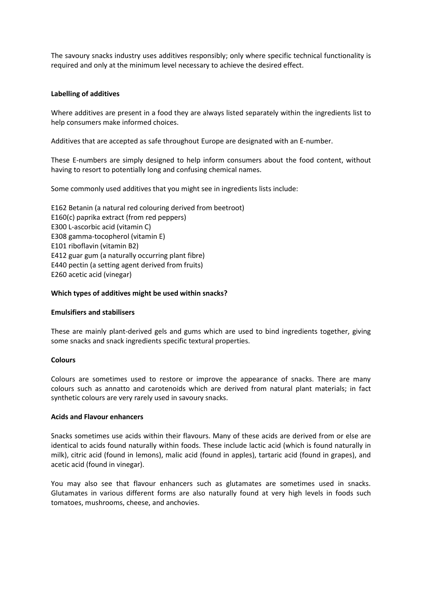The savoury snacks industry uses additives responsibly; only where specific technical functionality is required and only at the minimum level necessary to achieve the desired effect.

# **Labelling of additives**

Where additives are present in a food they are always listed separately within the ingredients list to help consumers make informed choices.

Additives that are accepted as safe throughout Europe are designated with an E-number.

These E-numbers are simply designed to help inform consumers about the food content, without having to resort to potentially long and confusing chemical names.

Some commonly used additives that you might see in ingredients lists include:

E162 Betanin (a natural red colouring derived from beetroot) E160(c) paprika extract (from red peppers) E300 L-ascorbic acid (vitamin C) E308 gamma-tocopherol (vitamin E) E101 riboflavin (vitamin B2) E412 guar gum (a naturally occurring plant fibre) E440 pectin (a setting agent derived from fruits) E260 acetic acid (vinegar)

#### **Which types of additives might be used within snacks?**

#### **Emulsifiers and stabilisers**

These are mainly plant-derived gels and gums which are used to bind ingredients together, giving some snacks and snack ingredients specific textural properties.

# **Colours**

Colours are sometimes used to restore or improve the appearance of snacks. There are many colours such as annatto and carotenoids which are derived from natural plant materials; in fact synthetic colours are very rarely used in savoury snacks.

#### **Acids and Flavour enhancers**

Snacks sometimes use acids within their flavours. Many of these acids are derived from or else are identical to acids found naturally within foods. These include lactic acid (which is found naturally in milk), citric acid (found in lemons), malic acid (found in apples), tartaric acid (found in grapes), and acetic acid (found in vinegar).

You may also see that flavour enhancers such as glutamates are sometimes used in snacks. Glutamates in various different forms are also naturally found at very high levels in foods such tomatoes, mushrooms, cheese, and anchovies.